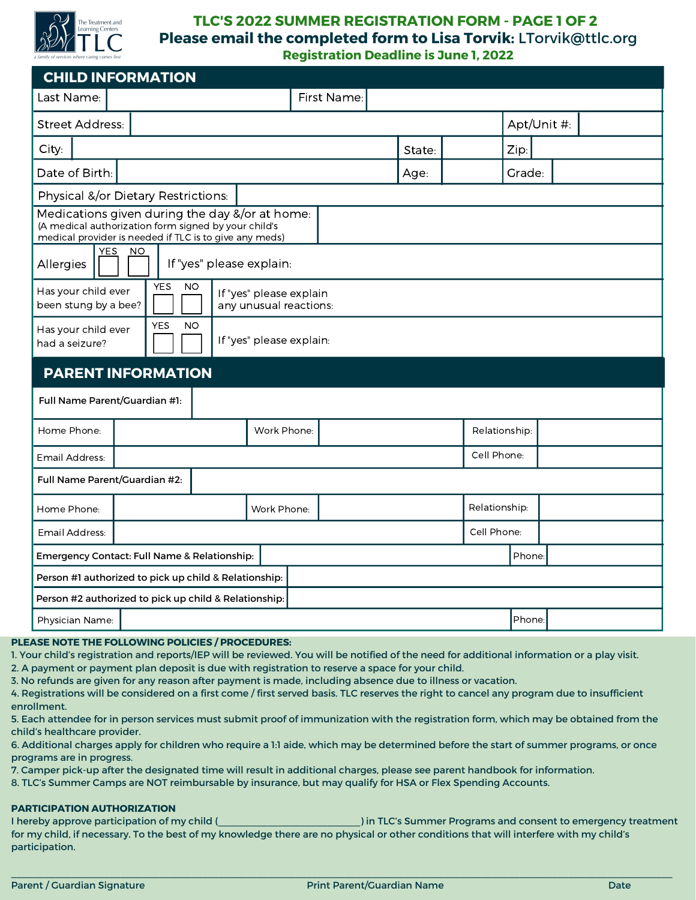

### **TLC'S 2022 SUMMER REGISTRATION FORM - PAGE 1 OF 2 Please email the completed form to Lisa Torvik:** LTorvik@ttlc.org **Registration Deadline is June 1, 2022**

| <b>CHILD INFORMATION</b>                                                                                                                                         |             |               |        |             |  |  |
|------------------------------------------------------------------------------------------------------------------------------------------------------------------|-------------|---------------|--------|-------------|--|--|
| First Name:<br>Last Name:                                                                                                                                        |             |               |        |             |  |  |
| <b>Street Address:</b>                                                                                                                                           |             | Apt/Unit #:   |        |             |  |  |
| City:                                                                                                                                                            | State:      |               | Zip:   |             |  |  |
| Date of Birth:                                                                                                                                                   | Age:        |               | Grade: |             |  |  |
| Physical &/or Dietary Restrictions:                                                                                                                              |             |               |        |             |  |  |
| Medications given during the day &/or at home:<br>(A medical authorization form signed by your child's<br>medical provider is needed if TLC is to give any meds) |             |               |        |             |  |  |
| <b>YES</b><br><b>NO</b><br>If "yes" please explain:<br>Allergies                                                                                                 |             |               |        |             |  |  |
| <b>YES</b><br><b>NO</b><br>Has your child ever<br>If "yes" please explain<br>been stung by a bee?<br>any unusual reactions:                                      |             |               |        |             |  |  |
| <b>YES</b><br><b>NO</b><br>Has your child ever<br>If "yes" please explain:<br>had a seizure?                                                                     |             |               |        |             |  |  |
| <b>PARENT INFORMATION</b>                                                                                                                                        |             |               |        |             |  |  |
| Full Name Parent/Guardian #1:                                                                                                                                    |             |               |        |             |  |  |
| Home Phone:<br>Work Phone:                                                                                                                                       |             | Relationship: |        |             |  |  |
| Email Address:                                                                                                                                                   |             |               |        | Cell Phone: |  |  |
| Full Name Parent/Guardian #2:                                                                                                                                    |             |               |        |             |  |  |
| Home Phone:<br>Work Phone:                                                                                                                                       |             | Relationship: |        |             |  |  |
| Email Address:                                                                                                                                                   | Cell Phone: |               |        |             |  |  |
| Emergency Contact: Full Name & Relationship:                                                                                                                     |             |               | Phone: |             |  |  |
| Person #1 authorized to pick up child & Relationship:                                                                                                            |             |               |        |             |  |  |
| Person #2 authorized to pick up child & Relationship:                                                                                                            |             |               |        |             |  |  |
| Physician Name:                                                                                                                                                  |             |               | Phone: |             |  |  |

### **PLEASE NOTE THE FOLLOWING POLICIES / PROCEDURES:**

1. Your child's registration and reports/IEP will be reviewed. You will be notified of the need for additional information or a play visit.

2. A payment or payment plan deposit is due with registration to reserve a space for your child.

3. No refunds are given for any reason after payment is made, including absence due to illness or vacation.

4. Registrations will be considered on a first come / first served basis. TLC reserves the right to cancel any program due to insufficient enrollment.

5. Each attendee for in person services must submit proof of immunization with the registration form, which may be obtained from the child's healthcare provider.

6. Additional charges apply for children who require a 1:1 aide, which may be determined before the start of summer programs, or once programs are in progress.

7. Camper pick-up after the designated time will result in additional charges, please see parent handbook for information.

8. TLC's Summer Camps are NOT reimbursable by insurance, but may qualify for HSA or Flex Spending Accounts.

### **PARTICIPATION AUTHORIZATION**

I hereby approve participation of my child (  $\blacksquare$  ) in TLC's Summer Programs and consent to emergency treatment for my child, if necessary. To the best of my knowledge there are no physical or other conditions that will interfere with my child's participation.

 $\mathcal{L} = \{ \mathcal{L} = \{ \mathcal{L} = \{ \mathcal{L} = \{ \mathcal{L} = \{ \mathcal{L} = \{ \mathcal{L} = \{ \mathcal{L} = \{ \mathcal{L} = \{ \mathcal{L} = \{ \mathcal{L} = \{ \mathcal{L} = \{ \mathcal{L} = \{ \mathcal{L} = \{ \mathcal{L} = \{ \mathcal{L} = \{ \mathcal{L} = \{ \mathcal{L} = \{ \mathcal{L} = \{ \mathcal{L} = \{ \mathcal{L} = \{ \mathcal{L} = \{ \mathcal{L} = \{ \mathcal{L} = \{ \mathcal{$